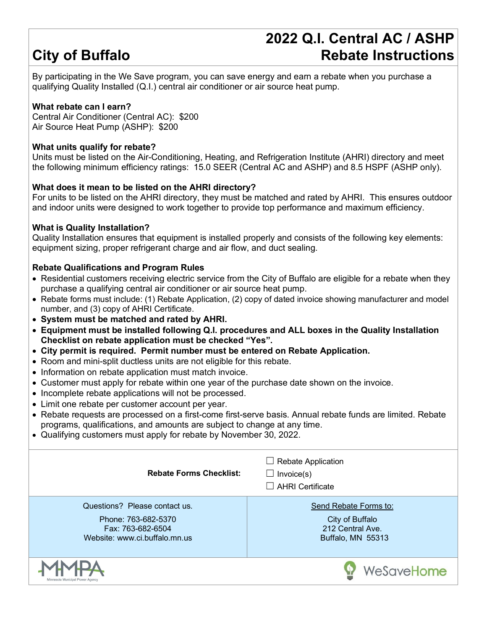# **City of Buffalo**

### **2022 Q.I. Central AC / ASHP Rebate Instructions**

By participating in the We Save program, you can save energy and earn a rebate when you purchase a qualifying Quality Installed (Q.I.) central air conditioner or air source heat pump.

#### **What rebate can I earn?**

Central Air Conditioner (Central AC): \$200 Air Source Heat Pump (ASHP): \$200

#### **What units qualify for rebate?**

Units must be listed on the Air-Conditioning, Heating, and Refrigeration Institute (AHRI) directory and meet the following minimum efficiency ratings: 15.0 SEER (Central AC and ASHP) and 8.5 HSPF (ASHP only).

#### **What does it mean to be listed on the AHRI directory?**

For units to be listed on the AHRI directory, they must be matched and rated by AHRI. This ensures outdoor and indoor units were designed to work together to provide top performance and maximum efficiency.

#### **What is Quality Installation?**

Quality Installation ensures that equipment is installed properly and consists of the following key elements: equipment sizing, proper refrigerant charge and air flow, and duct sealing.

#### **Rebate Qualifications and Program Rules**

- Residential customers receiving electric service from the City of Buffalo are eligible for a rebate when they purchase a qualifying central air conditioner or air source heat pump.
- Rebate forms must include: (1) Rebate Application, (2) copy of dated invoice showing manufacturer and model number, and (3) copy of AHRI Certificate.
- **System must be matched and rated by AHRI.**
- **Equipment must be installed following Q.I. procedures and ALL boxes in the Quality Installation Checklist on rebate application must be checked "Yes".**
- **City permit is required. Permit number must be entered on Rebate Application.**
- Room and mini-split ductless units are not eligible for this rebate.
- Information on rebate application must match invoice.
- Customer must apply for rebate within one year of the purchase date shown on the invoice.
- Incomplete rebate applications will not be processed.
- Limit one rebate per customer account per year.
- Rebate requests are processed on a first-come first-serve basis. Annual rebate funds are limited. Rebate programs, qualifications, and amounts are subject to change at any time.
- Qualifying customers must apply for rebate by November 30, 2022.

| <b>Rebate Forms Checklist:</b>                                                                             | $\Box$ Rebate Application<br>$\Box$ Invoice(s)<br>$\Box$ AHRI Certificate         |  |  |  |
|------------------------------------------------------------------------------------------------------------|-----------------------------------------------------------------------------------|--|--|--|
| Questions? Please contact us.<br>Phone: 763-682-5370<br>Fax: 763-682-6504<br>Website: www.ci.buffalo.mn.us | Send Rebate Forms to:<br>City of Buffalo<br>212 Central Ave.<br>Buffalo, MN 55313 |  |  |  |
| Minnesota Municipal Power Agency                                                                           | WeSaveHome                                                                        |  |  |  |